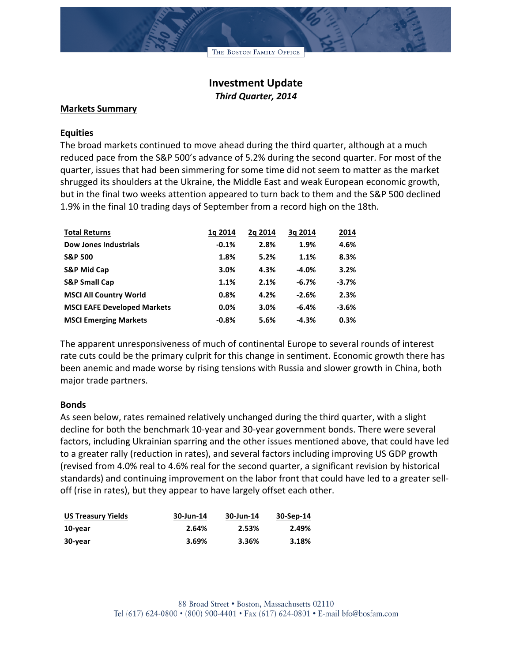THE BOSTON FAMILY OFFICE

# **Investment Update** *Third Quarter, 2014*

### **Markets Summary**

### **Equities**

The broad markets continued to move ahead during the third quarter, although at a much reduced pace from the S&P 500's advance of 5.2% during the second quarter. For most of the quarter, issues that had been simmering for some time did not seem to matter as the market shrugged its shoulders at the Ukraine, the Middle East and weak European economic growth, but in the final two weeks attention appeared to turn back to them and the S&P 500 declined 1.9% in the final 10 trading days of September from a record high on the 18th.

| <b>Total Returns</b>               | 1a 2014 | 2a 2014 | 3a 2014  | 2014    |
|------------------------------------|---------|---------|----------|---------|
| <b>Dow Jones Industrials</b>       | $-0.1%$ | 2.8%    | 1.9%     | 4.6%    |
| <b>S&amp;P 500</b>                 | 1.8%    | 5.2%    | 1.1%     | 8.3%    |
| <b>S&amp;P Mid Cap</b>             | 3.0%    | 4.3%    | $-4.0%$  | 3.2%    |
| <b>S&amp;P Small Cap</b>           | 1.1%    | 2.1%    | $-6.7\%$ | $-3.7%$ |
| <b>MSCI All Country World</b>      | 0.8%    | 4.2%    | $-2.6%$  | 2.3%    |
| <b>MSCI EAFE Developed Markets</b> | $0.0\%$ | 3.0%    | $-6.4%$  | $-3.6%$ |
| <b>MSCI Emerging Markets</b>       | $-0.8%$ | 5.6%    | $-4.3%$  | 0.3%    |

The apparent unresponsiveness of much of continental Europe to several rounds of interest rate cuts could be the primary culprit for this change in sentiment. Economic growth there has been anemic and made worse by rising tensions with Russia and slower growth in China, both major trade partners.

## **Bonds**

As seen below, rates remained relatively unchanged during the third quarter, with a slight decline for both the benchmark 10-year and 30-year government bonds. There were several factors, including Ukrainian sparring and the other issues mentioned above, that could have led to a greater rally (reduction in rates), and several factors including improving US GDP growth (revised from 4.0% real to 4.6% real for the second quarter, a significant revision by historical standards) and continuing improvement on the labor front that could have led to a greater selloff (rise in rates), but they appear to have largely offset each other.

| <b>US Treasury Yields</b> | 30-Jun-14 | 30-Jun-14 | 30-Sep-14 |
|---------------------------|-----------|-----------|-----------|
| 10-year                   | 2.64%     | 2.53%     | 2.49%     |
| 30-year                   | 3.69%     | 3.36%     | 3.18%     |